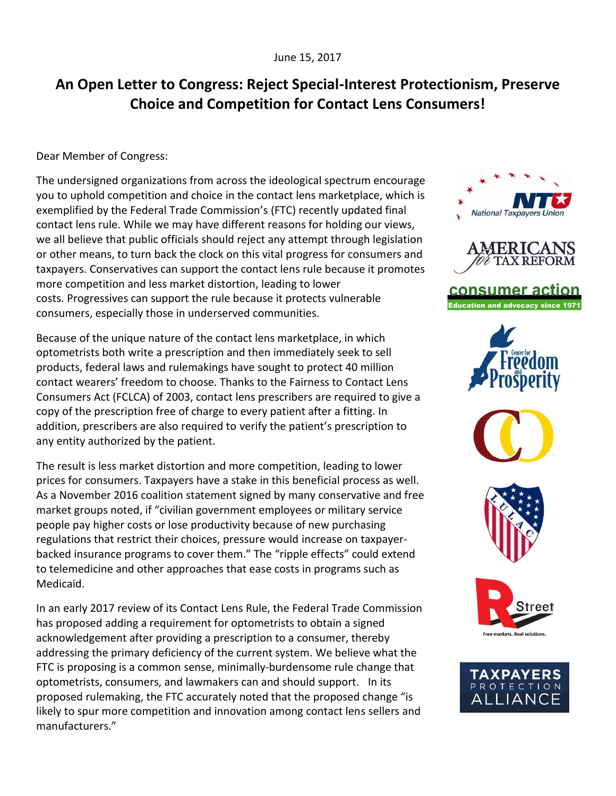## **An Open Letter to Congress: Reject Special-Interest Protectionism, Preserve Choice and Competition for Contact Lens Consumers!**

Dear Member of Congress:

The undersigned organizations from across the ideological spectrum encourage you to uphold competition and choice in the contact lens marketplace, which is exemplified by the Federal Trade Commission's (FTC) recently updated final contact lens rule. While we may have different reasons for holding our views, we all believe that public officials should reject any attempt through legislation or other means, to turn back the clock on this vital progress for consumers and taxpayers. Conservatives can support the contact lens rule because it promotes more competition and less market distortion, leading to lower costs. Progressives can support the rule because it protects vulnerable consumers, especially those in underserved communities.

Because of the unique nature of the contact lens marketplace, in which optometrists both write a prescription and then immediately seek to sell products, federal laws and rulemakings have sought to protect 40 million contact wearers' freedom to choose. Thanks to the Fairness to Contact Lens Consumers Act (FCLCA) of 2003, contact lens prescribers are required to give a copy of the prescription free of charge to every patient after a fitting. In addition, prescribers are also required to verify the patient's prescription to any entity authorized by the patient.

The result is less market distortion and more competition, leading to lower prices for consumers. Taxpayers have a stake in this beneficial process as well. As a November 2016 coalition statement signed by many conservative and free market groups noted, if "civilian government employees or military service people pay higher costs or lose productivity because of new purchasing regulations that restrict their choices, pressure would increase on taxpayerbacked insurance programs to cover them." The "ripple effects" could extend to telemedicine and other approaches that ease costs in programs such as Medicaid.

In an early 2017 review of its Contact Lens Rule, the Federal Trade Commission has proposed adding a requirement for optometrists to obtain a signed acknowledgement after providing a prescription to a consumer, thereby addressing the primary deficiency of the current system. We believe what the FTC is proposing is a common sense, minimally-burdensome rule change that optometrists, consumers, and lawmakers can and should support. In its proposed rulemaking, the FTC accurately noted that the proposed change "is likely to spur more competition and innovation among contact lens sellers and manufacturers."



consumer action **Education and advocacy since 1971**